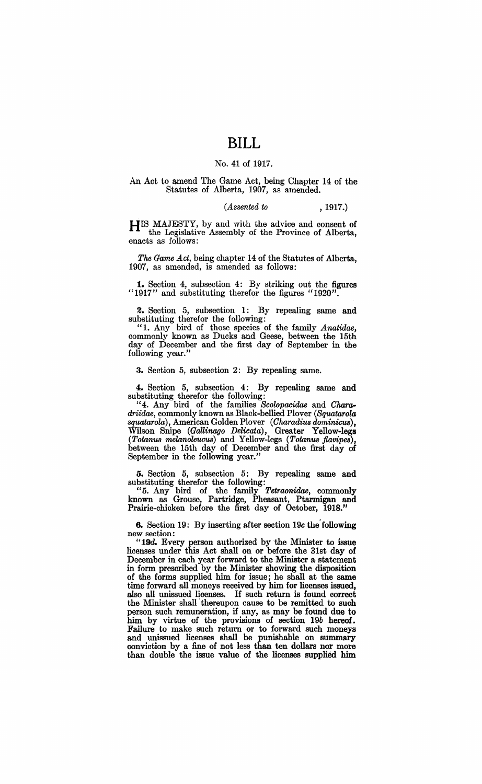# BILL

### No. 41 of 1917.

#### An Act to amend The Game Act, being Chapter 14 of the Statutes of Alberta, 1907, as amended.

## *(Assented to* , 1917.)

HIS MAJESTY, by and with the advice and consent of the Legislative Assembly of the Province of Alberta, enacts as follows:

*The Game Act,* being chapter 14 of the Statutes of Alberta, 1907, as amended, is amended as follows:

1. Section 4, subsection 4: By striking out the figures "1917" and substituting therefor the figures "1920".

**2.** Section 5, subsection 1: By repealing same and substituting therefor the following:

"1. Any bird of those species of the family *Anatidae*, commonly known as Ducks and Geese, between the 15th day of December and the first day of September in the following year."

3. Section 5, subsection 2: By repealing same.

4. Section 5, subsection 4: By repealing same and substituting therefor the following:

"4. Any bird of the families *Scolopacidae* and. *Charadriidae,* commonly known as Black-bellied Plover *(Squatarola 8quatarola),* American Golden Plover *(Charadiu8 dominicu8),*  Wilson Snipe *(GaUinago Delieata),* Greater YeUow-legs *(Totanu8 melanoleucus)* and Yellow-legs *(Totanu8 jlavipes),*  between the 15th day of December and the first day of September in the following year."

5. Section 5, subsection 5: By repealing same and substituting therefor the following:

II 5. Any bird of the fnmily *Tetraonidae,* commonly known as Grouse, Partridge, Pheasant, Ptarmigan and Prairie-chicken before the first day of October, 1918."

6. Section 19: By inserting after section 19c the following new section:

*"19d.* Every person authorized by the Minister to issue licenses under this Act shall on or before the 31st day of December in each year forward to the Minister a statement in form prescribed by the Minister showing the disposition of the forms supplied him for issue; he shall at the same time forward all moneys received by him for licenses issued, also all unissued licenses. If such return is found correct the Minister shall thereupon cause to be remitted to such person such remuneration, if any, as may be found due to him by virtue of the provisions of section *19b* hereof. Failure to make such return or to forward such moneys and unissued licenses shall be punishable on summary conviction by a fine of not less than ten dollars nor more than double the issue value of the licenses supplied him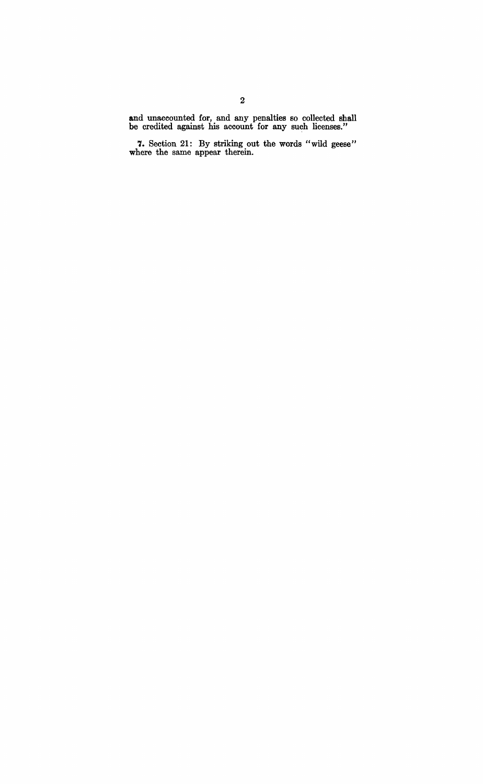and unaccounted for, and any penalties so collected shall be credited against his account for any such licenses."

**7.** Section 21: By striking out the words "wild geese" where the same appear therein.